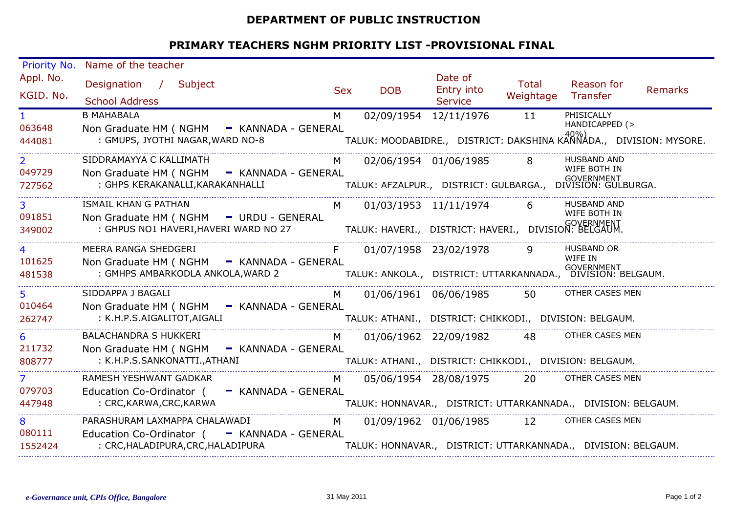## **DEPARTMENT OF PUBLIC INSTRUCTION**

## **PRIMARY TEACHERS NGHM PRIORITY LIST -PROVISIONAL FINAL**

| <b>Priority No.</b> | Name of the teacher                                                                                         |            |                                                                             |                       |           |                              |         |  |  |
|---------------------|-------------------------------------------------------------------------------------------------------------|------------|-----------------------------------------------------------------------------|-----------------------|-----------|------------------------------|---------|--|--|
| Appl. No.           | Designation / Subject                                                                                       |            |                                                                             | Date of               | Total     | Reason for                   |         |  |  |
| KGID. No.           |                                                                                                             | <b>Sex</b> | <b>DOB</b>                                                                  | Entry into            | Weightage | Transfer                     | Remarks |  |  |
|                     | <b>School Address</b>                                                                                       |            |                                                                             | Service               |           |                              |         |  |  |
| $\mathbf{1}$        | <b>B MAHABALA</b>                                                                                           | M          | 02/09/1954 12/11/1976                                                       |                       | 11        | PHISICALLY<br>HANDICAPPED (> |         |  |  |
| 063648              | Non Graduate HM ( NGHM - KANNADA - GENERAL                                                                  |            |                                                                             |                       |           |                              |         |  |  |
| 444081              | : GMUPS, JYOTHI NAGAR, WARD NO-8                                                                            |            | -<br>TALUK: MOODABIDRE.,   DISTRICT: DAKSHINA KANNADA.,   DIVISION: MYSORE. |                       |           |                              |         |  |  |
| $\mathbf{2}$        | SIDDRAMAYYA C KALLIMATH                                                                                     | M          | 02/06/1954 01/06/1985                                                       |                       |           | <b>HUSBAND AND</b>           |         |  |  |
| 049729              | Non Graduate HM ( NGHM - KANNADA - GENERAL                                                                  |            |                                                                             |                       |           | WIFE BOTH IN                 |         |  |  |
| 727562              | : GHPS KERAKANALLI, KARAKANHALLI                                                                            |            | ــ<br>TALUK: AFZALPUR.,   DISTRICT: GULBARGA.,   DIVISION: GULBURGA.        |                       |           |                              |         |  |  |
| $\overline{3}$      | ISMAIL KHAN G PATHAN                                                                                        | M          | 01/03/1953 11/11/1974                                                       |                       | 6         | <b>HUSBAND AND</b>           |         |  |  |
| 091851              | Non Graduate HM ( NGHM - URDU - GENERAL                                                                     |            |                                                                             |                       |           | WIFE BOTH IN                 |         |  |  |
| 349002              | : GOVERNMENT<br>: GHPUS NO1 HAVERI, HAVERI WARD NO 27 TALUK: HAVERI., DISTRICT: HAVERI., DIVISION: BELGAUM. |            |                                                                             |                       |           |                              |         |  |  |
|                     | MEERA RANGA SHEDGERI                                                                                        | F.         |                                                                             | 01/07/1958 23/02/1978 | 9         | <b>HUSBAND OR</b>            |         |  |  |
| 101625              | Non Graduate HM ( NGHM - KANNADA - GENERAL                                                                  |            |                                                                             |                       |           | WIFE IN                      |         |  |  |
| 481538              | : GMHPS AMBARKODLA ANKOLA, WARD 2 TALUK: ANKOLA., DISTRICT: UTTARKANNADA., DIVISION: BELGAUM.               |            |                                                                             |                       |           |                              |         |  |  |
| 5                   | SIDDAPPA J BAGALI                                                                                           | M          | 01/06/1961 06/06/1985                                                       |                       | 50        | OTHER CASES MEN              |         |  |  |
| 010464              | Non Graduate HM ( NGHM - KANNADA - GENERAL                                                                  |            |                                                                             |                       |           |                              |         |  |  |
| 262747              | : K.H.P.S.AIGALITOT,AIGALI                                                                                  |            | TALUK: ATHANI., DISTRICT: CHIKKODI., DIVISION: BELGAUM.                     |                       |           |                              |         |  |  |
| 6                   | <b>BALACHANDRA S HUKKERI</b>                                                                                | M          | 01/06/1962 22/09/1982                                                       |                       | 48        | OTHER CASES MEN              |         |  |  |
| 211732              | Non Graduate HM ( NGHM - KANNADA - GENERAL                                                                  |            |                                                                             |                       |           |                              |         |  |  |
| 808777              | : K.H.P.S.SANKONATTI., ATHANI                                                                               |            | TALUK: ATHANI., DISTRICT: CHIKKODI., DIVISION: BELGAUM.                     |                       |           |                              |         |  |  |
| $\overline{7}$      | RAMESH YESHWANT GADKAR                                                                                      | M          | 05/06/1954 28/08/1975                                                       |                       | <b>20</b> | OTHER CASES MEN              |         |  |  |
| 079703              | Education Co-Ordinator (<br>- KANNADA - GENERAL                                                             |            |                                                                             |                       |           |                              |         |  |  |
| 447948              | : CRC, KARWA, CRC, KARWA                                                                                    |            | TALUK: HONNAVAR., DISTRICT: UTTARKANNADA., DIVISION: BELGAUM.               |                       |           |                              |         |  |  |
| 8                   | PARASHURAM LAXMAPPA CHALAWADI                                                                               | M          | 01/09/1962 01/06/1985                                                       |                       | 12        | OTHER CASES MEN              |         |  |  |
| 080111              | Education Co-Ordinator ( - KANNADA - GENERAL                                                                |            |                                                                             |                       |           |                              |         |  |  |
| 1552424             | : CRC, HALADIPURA, CRC, HALADIPURA                                                                          |            | TALUK: HONNAVAR., DISTRICT: UTTARKANNADA., DIVISION: BELGAUM.               |                       |           |                              |         |  |  |